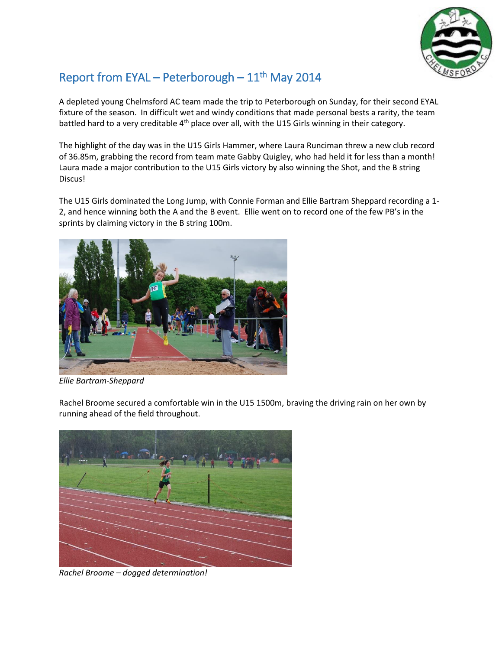

## Report from EYAL – Peterborough –  $11<sup>th</sup>$  May 2014

A depleted young Chelmsford AC team made the trip to Peterborough on Sunday, for their second EYAL fixture of the season. In difficult wet and windy conditions that made personal bests a rarity, the team battled hard to a very creditable 4<sup>th</sup> place over all, with the U15 Girls winning in their category.

The highlight of the day was in the U15 Girls Hammer, where Laura Runciman threw a new club record of 36.85m, grabbing the record from team mate Gabby Quigley, who had held it for less than a month! Laura made a major contribution to the U15 Girls victory by also winning the Shot, and the B string Discus!

The U15 Girls dominated the Long Jump, with Connie Forman and Ellie Bartram Sheppard recording a 1- 2, and hence winning both the A and the B event. Ellie went on to record one of the few PB's in the sprints by claiming victory in the B string 100m.



*Ellie Bartram-Sheppard*

Rachel Broome secured a comfortable win in the U15 1500m, braving the driving rain on her own by running ahead of the field throughout.



*Rachel Broome – dogged determination!*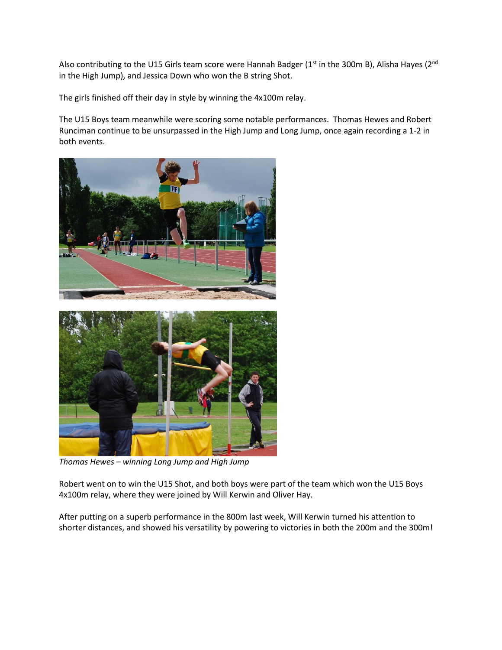Also contributing to the U15 Girls team score were Hannah Badger ( $1<sup>st</sup>$  in the 300m B), Alisha Hayes ( $2<sup>nd</sup>$ in the High Jump), and Jessica Down who won the B string Shot.

The girls finished off their day in style by winning the 4x100m relay.

The U15 Boys team meanwhile were scoring some notable performances. Thomas Hewes and Robert Runciman continue to be unsurpassed in the High Jump and Long Jump, once again recording a 1-2 in both events.



*Thomas Hewes – winning Long Jump and High Jump*

Robert went on to win the U15 Shot, and both boys were part of the team which won the U15 Boys 4x100m relay, where they were joined by Will Kerwin and Oliver Hay.

After putting on a superb performance in the 800m last week, Will Kerwin turned his attention to shorter distances, and showed his versatility by powering to victories in both the 200m and the 300m!